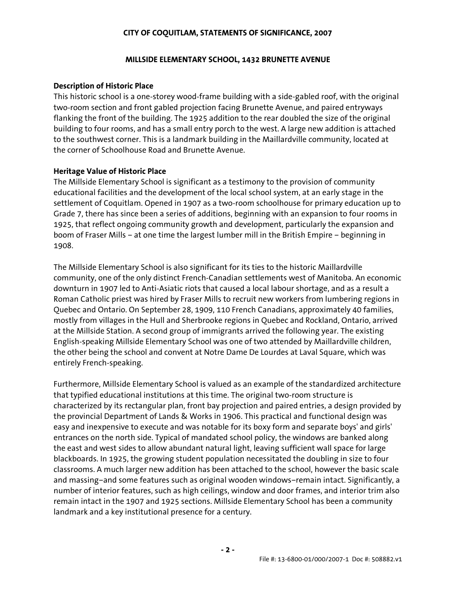## **CITY OF COQUITLAM, STATEMENTS OF SIGNIFICANCE, 2007**

#### **MILLSIDE ELEMENTARY SCHOOL, 1432 BRUNETTE AVENUE**

### **Description of Historic Place**

This historic school is a one-storey wood-frame building with a side-gabled roof, with the original two-room section and front gabled projection facing Brunette Avenue, and paired entryways flanking the front of the building. The 1925 addition to the rear doubled the size of the original building to four rooms, and has a small entry porch to the west. A large new addition is attached to the southwest corner. This is a landmark building in the Maillardville community, located at the corner of Schoolhouse Road and Brunette Avenue.

### **Heritage Value of Historic Place**

The Millside Elementary School is significant as a testimony to the provision of community educational facilities and the development of the local school system, at an early stage in the settlement of Coquitlam. Opened in 1907 as a two-room schoolhouse for primary education up to Grade 7, there has since been a series of additions, beginning with an expansion to four rooms in 1925, that reflect ongoing community growth and development, particularly the expansion and boom of Fraser Mills – at one time the largest lumber mill in the British Empire – beginning in 1908.

The Millside Elementary School is also significant for its ties to the historic Maillardville community, one of the only distinct French-Canadian settlements west of Manitoba. An economic downturn in 1907 led to Anti-Asiatic riots that caused a local labour shortage, and as a result a Roman Catholic priest was hired by Fraser Mills to recruit new workers from lumbering regions in Quebec and Ontario. On September 28, 1909, 110 French Canadians, approximately 40 families, mostly from villages in the Hull and Sherbrooke regions in Quebec and Rockland, Ontario, arrived at the Millside Station. A second group of immigrants arrived the following year. The existing English-speaking Millside Elementary School was one of two attended by Maillardville children, the other being the school and convent at Notre Dame De Lourdes at Laval Square, which was entirely French-speaking.

Furthermore, Millside Elementary School is valued as an example of the standardized architecture that typified educational institutions at this time. The original two-room structure is characterized by its rectangular plan, front bay projection and paired entries, a design provided by the provincial Department of Lands & Works in 1906. This practical and functional design was easy and inexpensive to execute and was notable for its boxy form and separate boys' and girls' entrances on the north side. Typical of mandated school policy, the windows are banked along the east and west sides to allow abundant natural light, leaving sufficient wall space for large blackboards. In 1925, the growing student population necessitated the doubling in size to four classrooms. A much larger new addition has been attached to the school, however the basic scale and massing–and some features such as original wooden windows–remain intact. Significantly, a number of interior features, such as high ceilings, window and door frames, and interior trim also remain intact in the 1907 and 1925 sections. Millside Elementary School has been a community landmark and a key institutional presence for a century.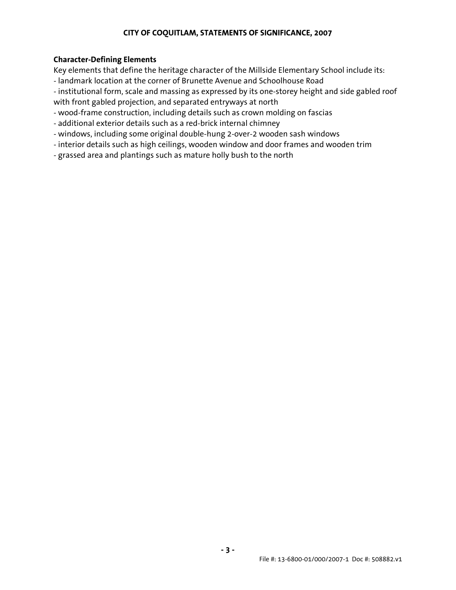# **CITY OF COQUITLAM, STATEMENTS OF SIGNIFICANCE, 2007**

# **Character-Defining Elements**

Key elements that define the heritage character of the Millside Elementary School include its:

- landmark location at the corner of Brunette Avenue and Schoolhouse Road
- institutional form, scale and massing as expressed by its one-storey height and side gabled roof with front gabled projection, and separated entryways at north
- wood-frame construction, including details such as crown molding on fascias
- additional exterior details such as a red-brick internal chimney
- windows, including some original double-hung 2-over-2 wooden sash windows
- interior details such as high ceilings, wooden window and door frames and wooden trim
- grassed area and plantings such as mature holly bush to the north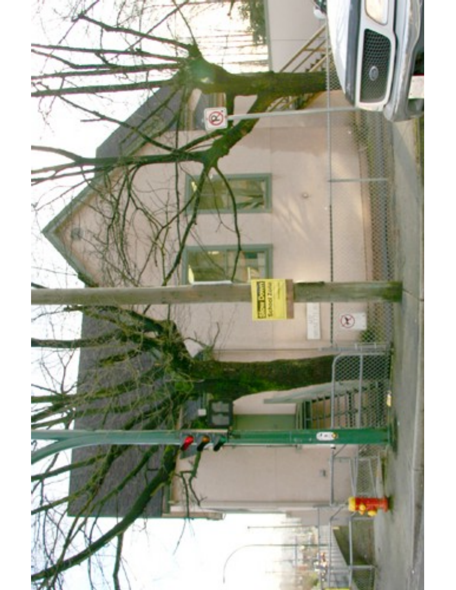